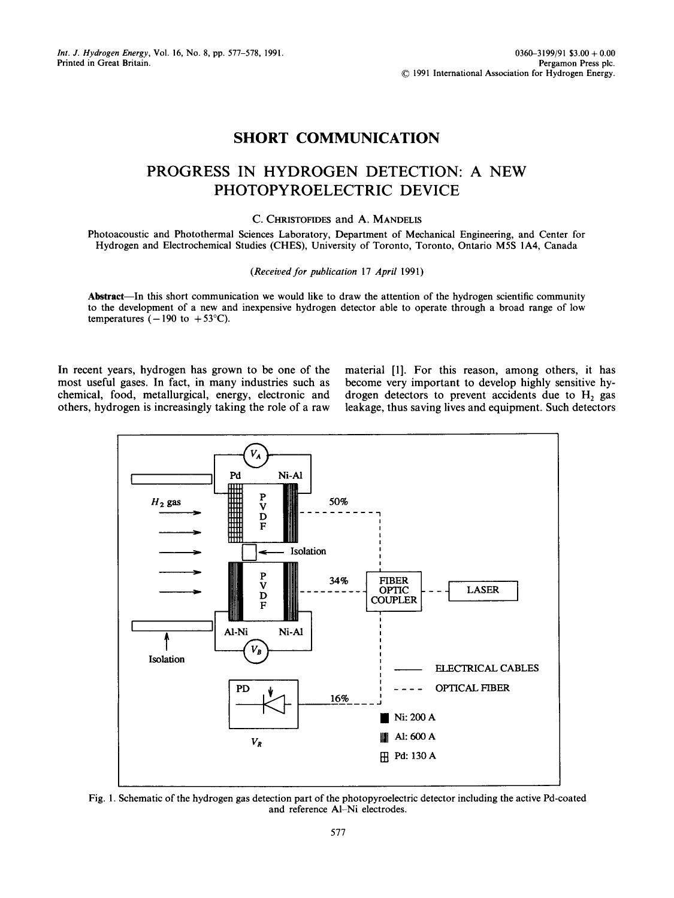## **SHORT COMMUNICATION**

# **PROGRESS IN HYDROGEN DETECTION: A NEW PHOTOPYROELECTRIC DEVICE**

### C. CHRISTOFIDES and A. MANDELIS

Photoacoustic and Photothermal Sciences Laboratory, Department of Mechanical Engineering, and Center for Hydrogen and Electrochemical Studies (CHES), University of Toronto, Toronto, Ontario M5S IA4, Canada

#### *(Received for publication* 17 *April* 1991)

Abstract—In this short communication we would like to draw the attention of the hydrogen scientific community to the development of a new and inexpensive hydrogen detector able to operate through a broad range of low temperatures  $(-190 \text{ to } +53^{\circ} \text{C}).$ 

In recent years, hydrogen has grown to be one of the most useful gases. In fact, in many industries such as chemical, food, metallurgical, energy, electronic and others, hydrogen is increasingly taking the role of a raw

material [1]. For this reason, among others, it has become very important to develop highly sensitive hydrogen detectors to prevent accidents due to  $H_2$  gas leakage, thus saving lives and equipment. Such detectors



Fig. 1. Schematic of the hydrogen gas detection part of the photopyroelectric detector including the active Pd-coated and reference AI-Ni electrodes.